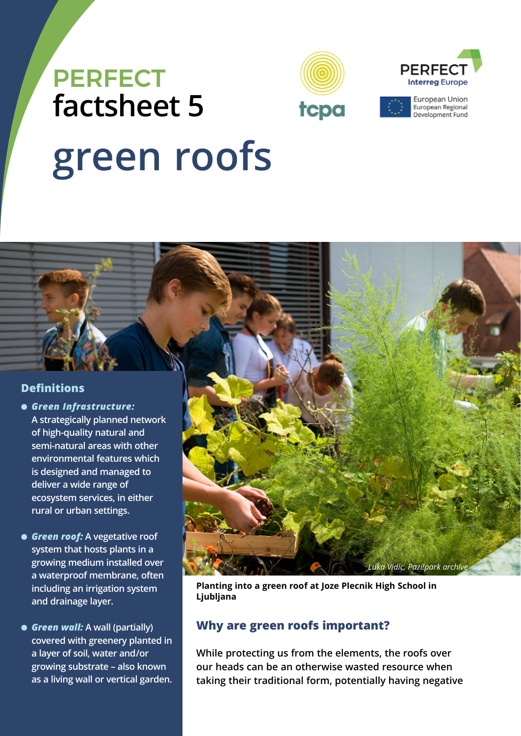



European Union

European Regional Development Fund

# **green roofs PERFECT factsheet 5**

# **Definitions**

- *Green Infrastructure:* **A strategically planned network of high-quality natural and semi-natural areas with other environmental features which is designed and managed to deliver a wide range of ecosystem services, in either rural or urban settings.**
- *Green roof:* **A vegetative roof system that hosts plants in a growing medium installed over a waterproof membrane, often including an irrigation system and drainage layer.**
- *Green wall:* **A wall (partially) covered with greenery planted in a layer of soil, water and/or growing substrate – also known as a living wall or vertical garden.**



**Planting into a green roof at Joze Plecnik High School in Ljubljana**

# **Why are green roofs important?**

**While protecting us from the elements, the roofs over our heads can be an otherwise wasted resource when taking their traditional form, potentially having negative**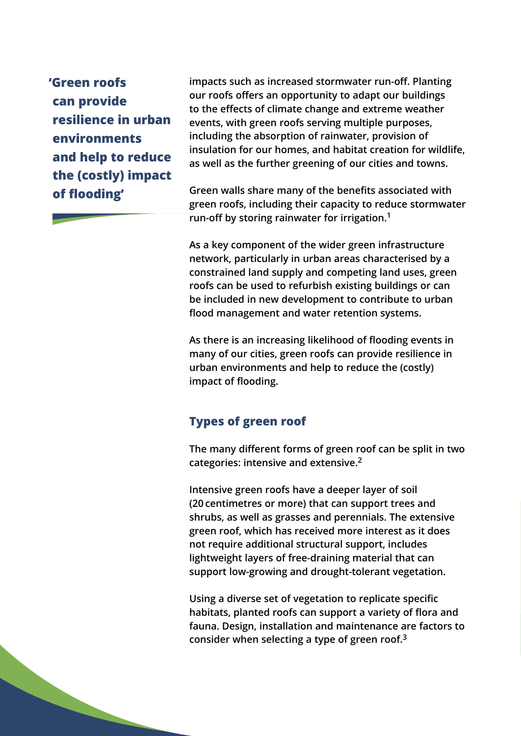**'Green roofs can provide resilience in urban environments and help to reduce the (costly) impact of flooding'**

**impacts such as increased stormwater run-off. Planting our roofs offers an opportunity to adapt our buildings to the effects of climate change and extreme weather events, with green roofs serving multiple purposes, including the absorption of rainwater, provision of insulation for our homes, and habitat creation for wildlife, as well as the further greening of our cities and towns.** 

**Green walls share many of the benefits associated with green roofs, including their capacity to reduce stormwater run-off by storing rainwater for irrigation.1**

**As a key component of the wider green infrastructure network, particularly in urban areas characterised by a constrained land supply and competing land uses, green roofs can be used to refurbish existing buildings or can be included in new development to contribute to urban flood management and water retention systems.** 

**As there is an increasing likelihood of flooding events in many of our cities, green roofs can provide resilience in urban environments and help to reduce the (costly) impact of flooding.**

# **Types of green roof**

**The many different forms of green roof can be split in two categories: intensive and extensive.2**

**Intensive green roofs have a deeper layer of soil (20 centimetres or more) that can support trees and shrubs, as well as grasses and perennials. The extensive green roof, which has received more interest as it does not require additional structural support, includes lightweight layers of free-draining material that can support low-growing and drought-tolerant vegetation.** 

**Using a diverse set of vegetation to replicate specific habitats, planted roofs can support a variety of flora and fauna. Design, installation and maintenance are factors to consider when selecting a type of green roof.3**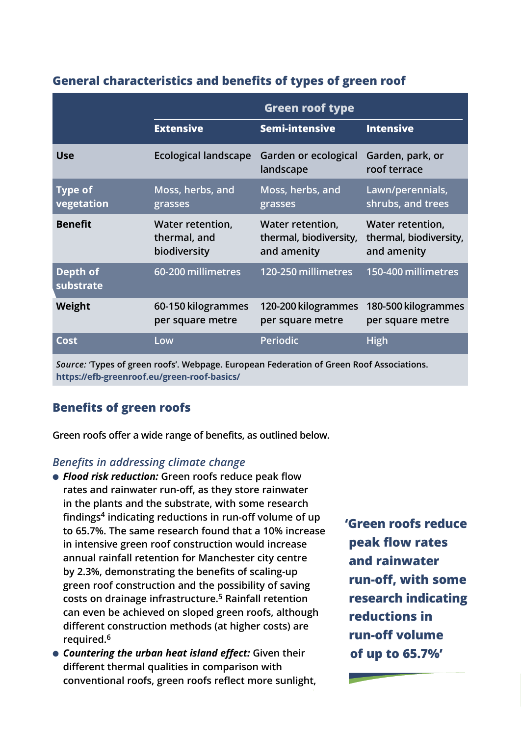# **General characteristics and benefits of types of green roof**

|                                                                                          | Green roof type                                  |                                                           |                                                           |
|------------------------------------------------------------------------------------------|--------------------------------------------------|-----------------------------------------------------------|-----------------------------------------------------------|
|                                                                                          | <b>Extensive</b>                                 | <b>Semi-intensive</b>                                     | <b>Intensive</b>                                          |
| <b>Use</b>                                                                               | <b>Ecological landscape</b>                      | Garden or ecological<br>landscape                         | Garden, park, or<br>roof terrace                          |
| <b>Type of</b><br>vegetation                                                             | Moss, herbs, and<br>grasses                      | Moss, herbs, and<br>grasses                               | Lawn/perennials,<br>shrubs, and trees                     |
| <b>Benefit</b>                                                                           | Water retention,<br>thermal, and<br>biodiversity | Water retention,<br>thermal, biodiversity,<br>and amenity | Water retention,<br>thermal, biodiversity,<br>and amenity |
| Depth of<br>substrate                                                                    | 60-200 millimetres                               | 120-250 millimetres                                       | 150-400 millimetres                                       |
| Weight                                                                                   | 60-150 kilogrammes<br>per square metre           | 120-200 kilogrammes<br>per square metre                   | 180-500 kilogrammes<br>per square metre                   |
| Cost                                                                                     | Low                                              | Periodic                                                  | High                                                      |
| Source: 'Types of green roofs'. Webpage. European Federation of Green Roof Associations. |                                                  |                                                           |                                                           |

**https://efb-greenroof.eu/green-roof-basics/**

# **Benefits of green roofs**

**Green roofs offer a wide range of benefits, as outlined below.**

#### *Benefits in addressing climate change*

- *Flood risk reduction:* **Green roofs reduce peak flow rates and rainwater run-off, as they store rainwater in the plants and the substrate, with some research findings4 indicating reductions in run-off volume of up to 65.7%. The same research found that a 10% increase in intensive green roof construction would increase annual rainfall retention for Manchester city centre by 2.3%, demonstrating the benefits of scaling-up green roof construction and the possibility of saving costs on drainage infrastructure.5 Rainfall retention can even be achieved on sloped green roofs, although different construction methods (at higher costs) are required.6**
- *Countering the urban heat island effect:* **Given their different thermal qualities in comparison with conventional roofs, green roofs reflect more sunlight,**

**'Green roofs reduce peak flow rates and rainwater run-off, with some research indicating reductions in run-off volume of up to 65.7%'**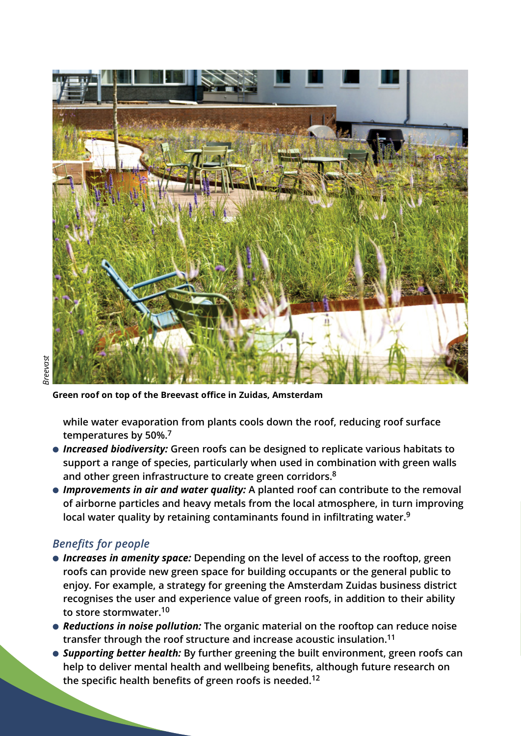

**Green roof on top of the Breevast office in Zuidas, Amsterdam**

**while water evaporation from plants cools down the roof, reducing roof surface temperatures by 50%.7**

- *Increased biodiversity:* **Green roofs can be designed to replicate various habitats to support a range of species, particularly when used in combination with green walls and other green infrastructure to create green corridors.8**
- *Improvements in air and water quality:* **A planted roof can contribute to the removal of airborne particles and heavy metals from the local atmosphere, in turn improving local water quality by retaining contaminants found in infiltrating water.9**

# *Benefits for people*

- *Increases in amenity space:* **Depending on the level of access to the rooftop, green roofs can provide new green space for building occupants or the general public to enjoy. For example, a strategy for greening the Amsterdam Zuidas business district recognises the user and experience value of green roofs, in addition to their ability to store stormwater.10**
- *Reductions in noise pollution:* **The organic material on the rooftop can reduce noise transfer through the roof structure and increase acoustic insulation.11**
- *Supporting better health:* **By further greening the built environment, green roofs can help to deliver mental health and wellbeing benefits, although future research on the specific health benefits of green roofs is needed.12**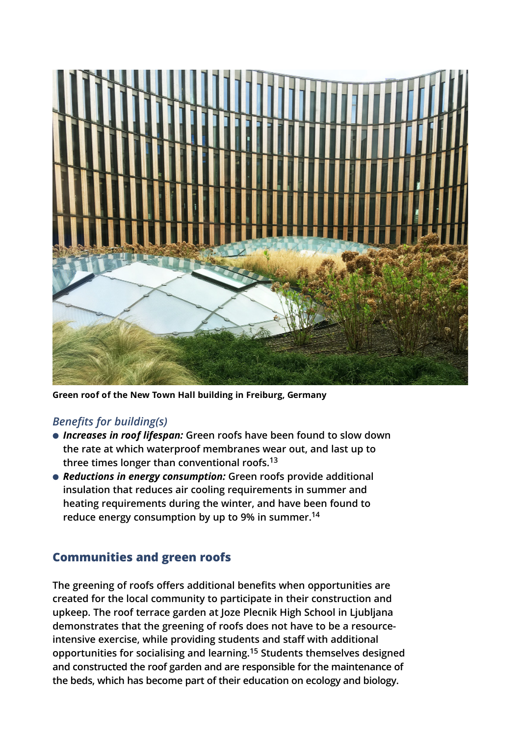

**Green roof of the New Town Hall building in Freiburg, Germany**

# *Benefits for building(s)*

- *Increases in roof lifespan:* **Green roofs have been found to slow down the rate at which waterproof membranes wear out, and last up to three times longer than conventional roofs.13**
- *Reductions in energy consumption:* **Green roofs provide additional insulation that reduces air cooling requirements in summer and heating requirements during the winter, and have been found to reduce energy consumption by up to 9% in summer.14**

# **Communities and green roofs**

**The greening of roofs offers additional benefits when opportunities are created for the local community to participate in their construction and upkeep. The roof terrace garden at Joze Plecnik High School in Ljubljana demonstrates that the greening of roofs does not have to be a resourceintensive exercise, while providing students and staff with additional opportunities for socialising and learning.15 Students themselves designed and constructed the roof garden and are responsible for the maintenance of the beds, which has become part of their education on ecology and biology.**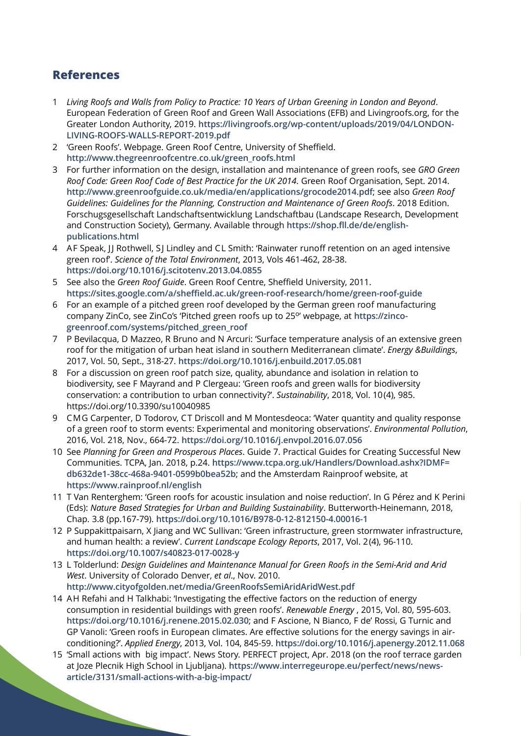# **References**

- 1 *Living Roofs and Walls from Policy to Practice: 10 Years of Urban Greening in London and Beyond*. European Federation of Green Roof and Green Wall Associations (EFB) and Livingroofs.org, for the Greater London Authority, 2019. **https://livingroofs.org/wp-content/uploads/2019/04/LONDON-LIVING-ROOFS-WALLS-REPORT-2019.pdf**
- 2 'Green Roofs'. Webpage. Green Roof Centre, University of Sheffield. **http://www.thegreenroofcentre.co.uk/green\_roofs.html**
- 3 For further information on the design, installation and maintenance of green roofs, see *GRO Green Roof Code: Green Roof Code of Best Practice for the UK 2014*. Green Roof Organisation, Sept. 2014. **http://www.greenroofguide.co.uk/media/en/applications/grocode2014.pdf**; see also *Green Roof Guidelines: Guidelines for the Planning, Construction and Maintenance of Green Roofs*. 2018 Edition. Forschugsgesellschaft Landschaftsentwicklung Landschaftbau (Landscape Research, Development and Construction Society), Germany. Available through **https://shop.fll.de/de/englishpublications.html**
- 4 AF Speak, JJ Rothwell, SJ Lindley and CL Smith: 'Rainwater runoff retention on an aged intensive green roof'. *Science of the Total Environment*, 2013, Vols 461-462, 28-38. **https://doi.org/10.1016/j.scitotenv.2013.04.0855**
- 5 See also the *Green Roof Guide*. Green Roof Centre, Sheffield University, 2011. **https://sites.google.com/a/sheffield.ac.uk/green-roof-research/home/green-roof-guide**
- 6 For an example of a pitched green roof developed by the German green roof manufacturing company ZinCo, see ZinCo's 'Pitched green roofs up to 25°' webpage, at https://zinco**greenroof.com/systems/pitched\_green\_roof**
- 7 P Bevilacqua, D Mazzeo, R Bruno and N Arcuri: 'Surface temperature analysis of an extensive green roof for the mitigation of urban heat island in southern Mediterranean climate'. *Energy &Buildings*, 2017, Vol. 50, Sept., 318-27. **https://doi.org/10.1016/j.enbuild.2017.05.081**
- 8 For a discussion on green roof patch size, quality, abundance and isolation in relation to biodiversity, see F Mayrand and P Clergeau: 'Green roofs and green walls for biodiversity conservation: a contribution to urban connectivity?'. *Sustainability*, 2018, Vol. 10(4), 985. https://doi.org/10.3390/su10040985
- 9 CMG Carpenter, D Todorov, CT Driscoll and M Montesdeoca: 'Water quantity and quality response of a green roof to storm events: Experimental and monitoring observations'. *Environmental Pollution*, 2016, Vol. 218, Nov., 664-72. **https://doi.org/10.1016/j.envpol.2016.07.056**
- 10 See *Planning for Green and Prosperous Places*. Guide 7. Practical Guides for Creating Successful New Communities. TCPA, Jan. 2018, p.24. **https://www.tcpa.org.uk/Handlers/Download.ashx?IDMF= db632de1-38cc-468a-9401-0599b0bea52b**; and the Amsterdam Rainproof website, at **https://www.rainproof.nl/english**
- 11 T Van Renterghem: 'Green roofs for acoustic insulation and noise reduction'. In G Pérez and K Perini (Eds): *Nature Based Strategies for Urban and Building Sustainability*. Butterworth-Heinemann, 2018, Chap. 3.8 (pp.167-79). **https://doi.org/10.1016/B978-0-12-812150-4.00016-1**
- 12 P Suppakittpaisarn, X Jiang and WC Sullivan: 'Green infrastructure, green stormwater infrastructure, and human health: a review'. *Current Landscape Ecology Reports*, 2017, Vol. 2(4), 96-110. **https://doi.org/10.1007/s40823-017-0028-y**
- 13 L Tolderlund: *Design Guidelines and Maintenance Manual for Green Roofs in the Semi-Arid and Arid West*. University of Colorado Denver, *et al*., Nov. 2010. **http://www.cityofgolden.net/media/GreenRoofsSemiAridAridWest.pdf**
- 14 AH Refahi and H Talkhabi: 'Investigating the effective factors on the reduction of energy consumption in residential buildings with green roofs'. *Renewable Energy* , 2015, Vol. 80, 595-603. **https://doi.org/10.1016/j.renene.2015.02.030**; and F Ascione, N Bianco, F de' Rossi, G Turnic and GP Vanoli: 'Green roofs in European climates. Are effective solutions for the energy savings in airconditioning?'. *Applied Energy*, 2013, Vol. 104, 845-59. **https://doi.org/10.1016/j.apenergy.2012.11.068**
- 15 'Small actions with big impact'. News Story. PERFECT project, Apr. 2018 (on the roof terrace garden at Joze Plecnik High School in Ljubljana). **https://www.interregeurope.eu/perfect/news/newsarticle/3131/small-actions-with-a-big-impact/**